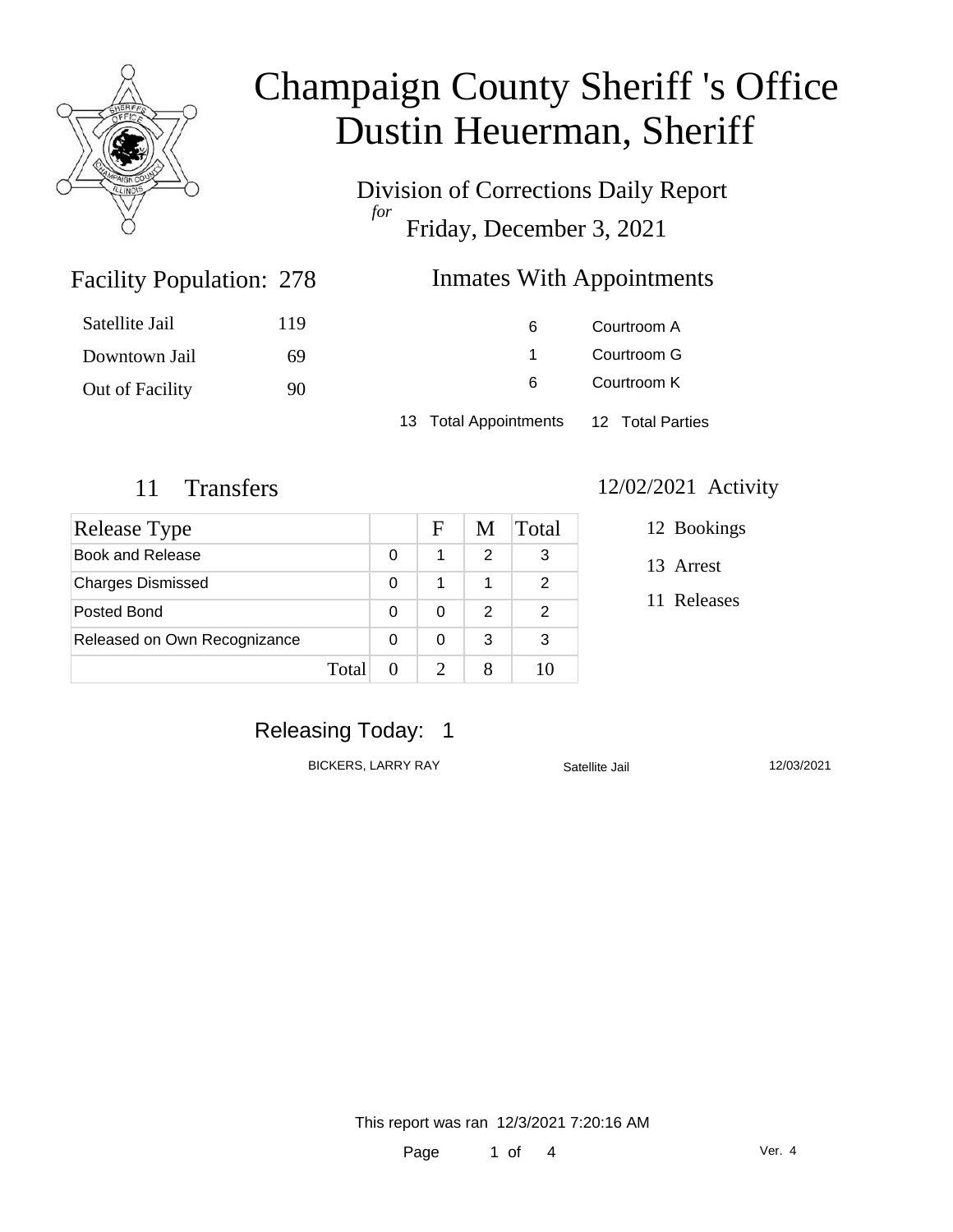

Division of Corrections Daily Report *for* Friday, December 3, 2021

### Inmates With Appointments

| Satellite Jail  | 119 | 6                     | Courtroom A      |  |
|-----------------|-----|-----------------------|------------------|--|
| Downtown Jail   | -69 |                       | Courtroom G      |  |
| Out of Facility | 90  | 6                     | Courtroom K      |  |
|                 |     | 13 Total Appointments | 12 Total Parties |  |

Facility Population: 278

| Release Type                 |   | F | M | Total |
|------------------------------|---|---|---|-------|
| Book and Release             |   |   | 2 | 3     |
| <b>Charges Dismissed</b>     |   |   |   | 2     |
| Posted Bond                  | 0 |   | 2 | 2     |
| Released on Own Recognizance |   |   | 3 | 3     |
| Total                        |   |   |   |       |

### 11 Transfers 12/02/2021 Activity

- 12 Bookings
- 13 Arrest
- 11 Releases

# Releasing Today: 1

BICKERS, LARRY RAY Satellite Jail 12/03/2021

This report was ran 12/3/2021 7:20:16 AM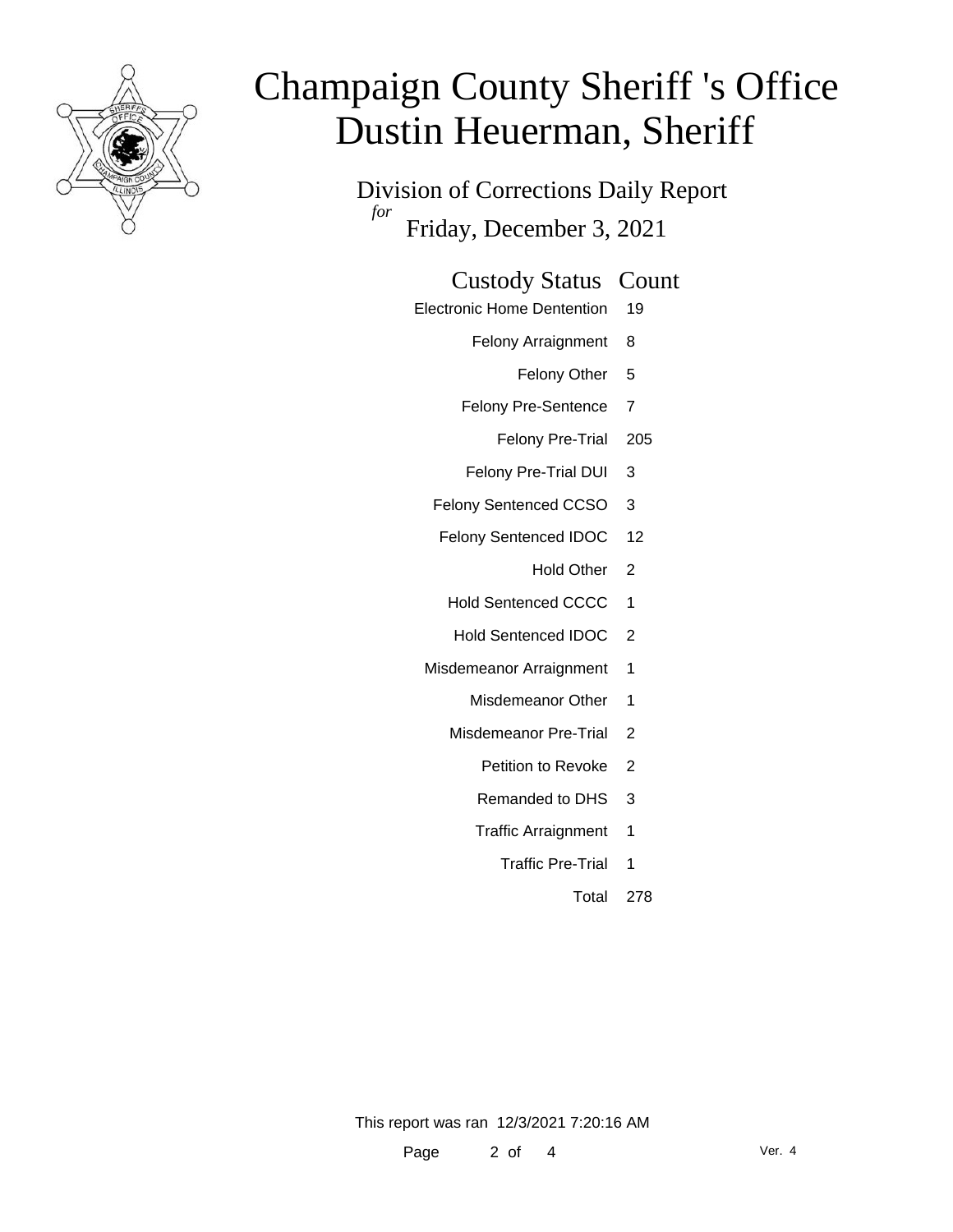

Division of Corrections Daily Report *for* Friday, December 3, 2021

### Custody Status Count

- Electronic Home Dentention 19
	- Felony Arraignment 8
		- Felony Other 5
	- Felony Pre-Sentence 7
		- Felony Pre-Trial 205
	- Felony Pre-Trial DUI 3
	- Felony Sentenced CCSO 3
	- Felony Sentenced IDOC 12
		- Hold Other 2
		- Hold Sentenced CCCC 1
		- Hold Sentenced IDOC 2
	- Misdemeanor Arraignment 1
		- Misdemeanor Other 1
		- Misdemeanor Pre-Trial 2
			- Petition to Revoke 2
			- Remanded to DHS 3
			- Traffic Arraignment 1
				- Traffic Pre-Trial 1
					- Total 278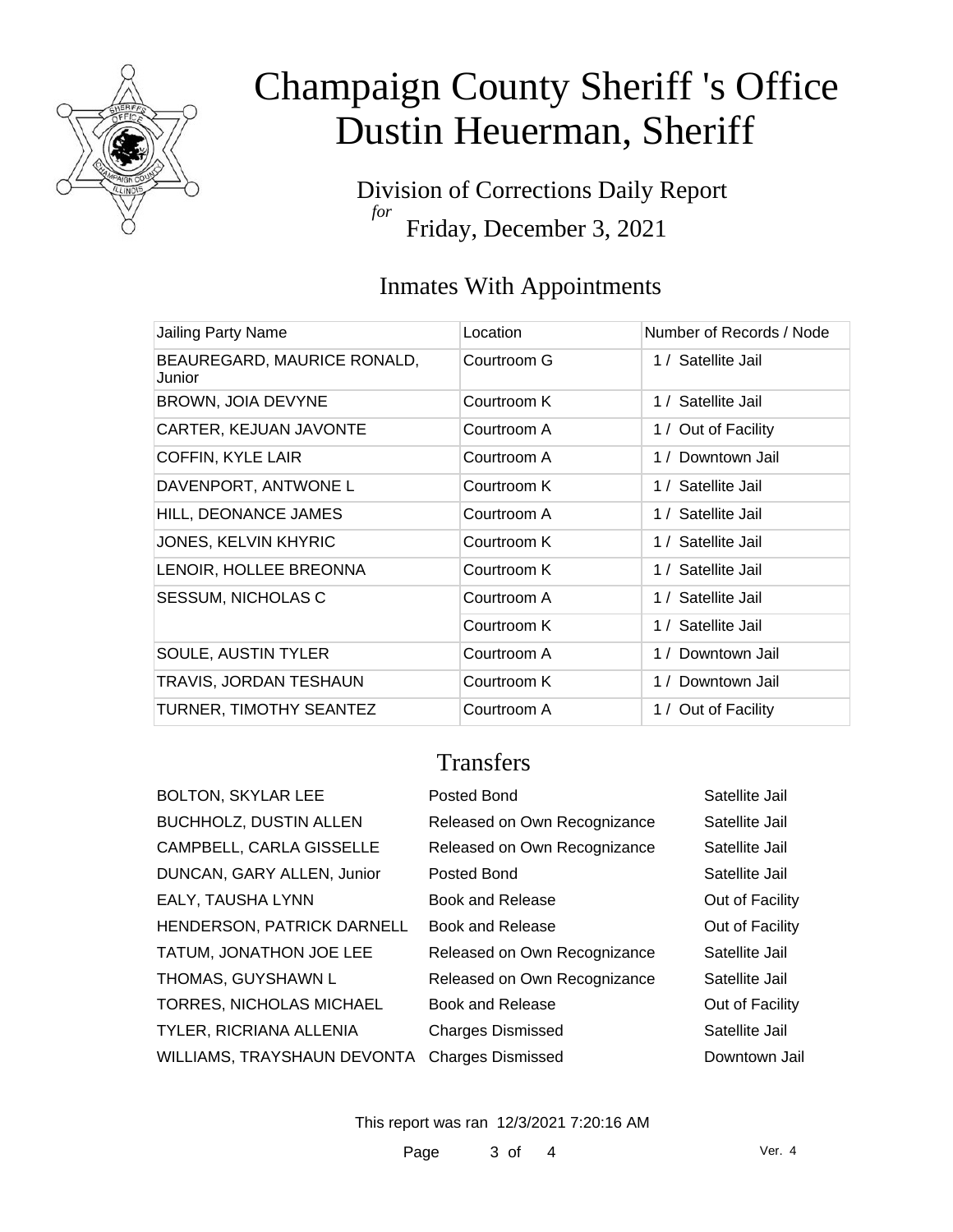

Division of Corrections Daily Report *for* Friday, December 3, 2021

# Inmates With Appointments

|             | Number of Records / Node |
|-------------|--------------------------|
| Courtroom G | 1 / Satellite Jail       |
| Courtroom K | 1 / Satellite Jail       |
| Courtroom A | 1 / Out of Facility      |
| Courtroom A | 1 / Downtown Jail        |
| Courtroom K | 1 / Satellite Jail       |
| Courtroom A | 1 / Satellite Jail       |
| Courtroom K | 1 / Satellite Jail       |
| Courtroom K | 1 / Satellite Jail       |
| Courtroom A | 1 / Satellite Jail       |
| Courtroom K | 1 / Satellite Jail       |
| Courtroom A | 1 / Downtown Jail        |
| Courtroom K | 1 / Downtown Jail        |
| Courtroom A | 1 / Out of Facility      |
|             | Location                 |

### **Transfers**

| <b>BOLTON, SKYLAR LEE</b>                     | Posted Bond                  | Satellite Jail  |
|-----------------------------------------------|------------------------------|-----------------|
| <b>BUCHHOLZ, DUSTIN ALLEN</b>                 | Released on Own Recognizance | Satellite Jail  |
| CAMPBELL, CARLA GISSELLE                      | Released on Own Recognizance | Satellite Jail  |
| DUNCAN, GARY ALLEN, Junior                    | Posted Bond                  | Satellite Jail  |
| EALY, TAUSHA LYNN                             | <b>Book and Release</b>      | Out of Facility |
| HENDERSON, PATRICK DARNELL                    | Book and Release             | Out of Facility |
| TATUM, JONATHON JOE LEE                       | Released on Own Recognizance | Satellite Jail  |
| THOMAS, GUYSHAWN L                            | Released on Own Recognizance | Satellite Jail  |
| TORRES, NICHOLAS MICHAEL                      | <b>Book and Release</b>      | Out of Facility |
| TYLER, RICRIANA ALLENIA                       | <b>Charges Dismissed</b>     | Satellite Jail  |
| WILLIAMS, TRAYSHAUN DEVONTA Charges Dismissed |                              | Downtown Jail   |

This report was ran 12/3/2021 7:20:16 AM